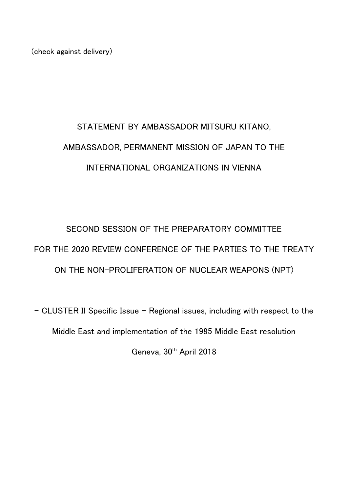(check against delivery)

## STATEMENT BY AMBASSADOR MITSURU KITANO, AMBASSADOR, PERMANENT MISSION OF JAPAN TO THE INTERNATIONAL ORGANIZATIONS IN VIENNA

SECOND SESSION OF THE PREPARATORY COMMITTEE FOR THE 2020 REVIEW CONFERENCE OF THE PARTIES TO THE TREATY ON THE NON-PROLIFERATION OF NUCLEAR WEAPONS (NPT)

- CLUSTER II Specific Issue – Regional issues, including with respect to the Middle East and implementation of the 1995 Middle East resolution Geneva, 30<sup>th</sup> April 2018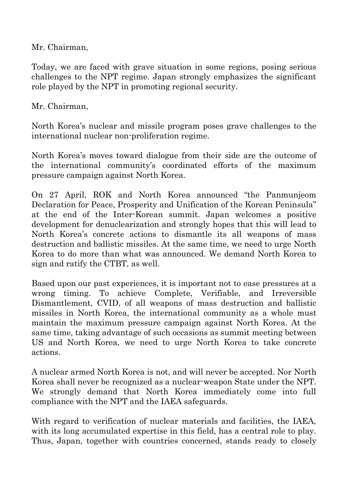Mr. Chairman,

Today, we are faced with grave situation in some regions, posing serious challenges to the NPT regime. Japan strongly emphasizes the significant role played by the NPT in promoting regional security.

Mr. Chairman,

North Korea's nuclear and missile program poses grave challenges to the international nuclear non-proliferation regime.

North Korea's moves toward dialogue from their side are the outcome of the international community's coordinated efforts of the maximum pressure campaign against North Korea.

On 27 April, ROK and North Korea announced "the Panmunjeom Declaration for Peace, Prosperity and Unification of the Korean Peninsula" at the end of the Inter-Korean summit. Japan welcomes a positive development for denuclearization and strongly hopes that this will lead to North Korea's concrete actions to dismantle its all weapons of mass destruction and ballistic missiles. At the same time, we need to urge North Korea to do more than what was announced. We demand North Korea to sign and ratify the CTBT, as well.

Based upon our past experiences, it is important not to ease pressures at a wrong timing. To achieve Complete, Verifiable, and Irreversible Dismantlement, CVID, of all weapons of mass destruction and ballistic missiles in North Korea, the international community as a whole must maintain the maximum pressure campaign against North Korea. At the same time, taking advantage of such occasions as summit meeting between US and North Korea, we need to urge North Korea to take concrete actions.

A nuclear armed North Korea is not, and will never be accepted. Nor North Korea shall never be recognized as a nuclear-weapon State under the NPT. We strongly demand that North Korea immediately come into full compliance with the NPT and the IAEA safeguards.

With regard to verification of nuclear materials and facilities, the IAEA, with its long accumulated expertise in this field, has a central role to play. Thus, Japan, together with countries concerned, stands ready to closely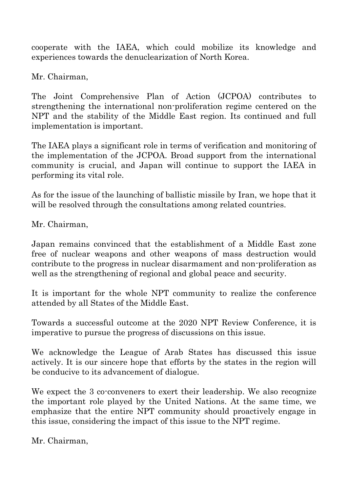cooperate with the IAEA, which could mobilize its knowledge and experiences towards the denuclearization of North Korea.

Mr. Chairman,

The Joint Comprehensive Plan of Action (JCPOA) contributes to strengthening the international non-proliferation regime centered on the NPT and the stability of the Middle East region. Its continued and full implementation is important.

The IAEA plays a significant role in terms of verification and monitoring of the implementation of the JCPOA. Broad support from the international community is crucial, and Japan will continue to support the IAEA in performing its vital role.

As for the issue of the launching of ballistic missile by Iran, we hope that it will be resolved through the consultations among related countries.

Mr. Chairman,

Japan remains convinced that the establishment of a Middle East zone free of nuclear weapons and other weapons of mass destruction would contribute to the progress in nuclear disarmament and non-proliferation as well as the strengthening of regional and global peace and security.

It is important for the whole NPT community to realize the conference attended by all States of the Middle East.

Towards a successful outcome at the 2020 NPT Review Conference, it is imperative to pursue the progress of discussions on this issue.

We acknowledge the League of Arab States has discussed this issue actively. It is our sincere hope that efforts by the states in the region will be conducive to its advancement of dialogue.

We expect the 3 co-conveners to exert their leadership. We also recognize the important role played by the United Nations. At the same time, we emphasize that the entire NPT community should proactively engage in this issue, considering the impact of this issue to the NPT regime.

Mr. Chairman,